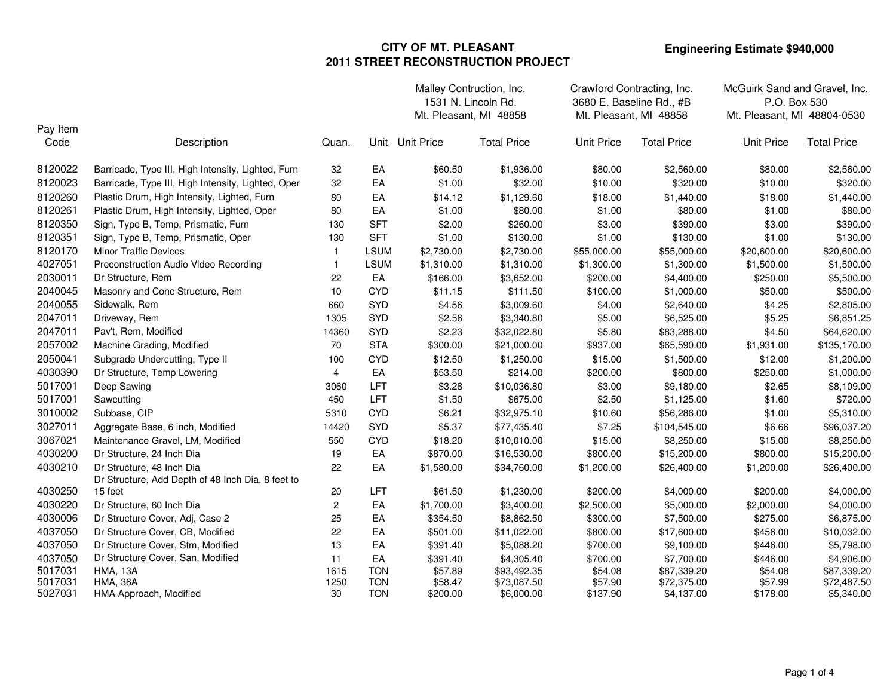|          |                                                                                |              |             |                   | Malley Contruction, Inc.<br>1531 N. Lincoln Rd.<br>Mt. Pleasant, MI 48858 | Crawford Contracting, Inc.<br>3680 E. Baseline Rd., #B<br>Mt. Pleasant, MI 48858 |                    | McGuirk Sand and Gravel, Inc.<br>P.O. Box 530<br>Mt. Pleasant, MI 48804-0530 |                    |
|----------|--------------------------------------------------------------------------------|--------------|-------------|-------------------|---------------------------------------------------------------------------|----------------------------------------------------------------------------------|--------------------|------------------------------------------------------------------------------|--------------------|
| Pay Item |                                                                                |              |             |                   |                                                                           |                                                                                  |                    |                                                                              |                    |
| Code     | Description                                                                    | Quan.        | Unit        | <b>Unit Price</b> | <b>Total Price</b>                                                        | <b>Unit Price</b>                                                                | <b>Total Price</b> | <b>Unit Price</b>                                                            | <b>Total Price</b> |
| 8120022  | Barricade, Type III, High Intensity, Lighted, Furn                             | 32           | EA          | \$60.50           | \$1,936.00                                                                | \$80.00                                                                          | \$2,560.00         | \$80.00                                                                      | \$2,560.00         |
| 8120023  | Barricade, Type III, High Intensity, Lighted, Oper                             | 32           | EA          | \$1.00            | \$32.00                                                                   | \$10.00                                                                          | \$320.00           | \$10.00                                                                      | \$320.00           |
| 8120260  | Plastic Drum, High Intensity, Lighted, Furn                                    | 80           | EA          | \$14.12           | \$1,129.60                                                                | \$18.00                                                                          | \$1,440.00         | \$18.00                                                                      | \$1,440.00         |
| 8120261  | Plastic Drum, High Intensity, Lighted, Oper                                    | 80           | EA          | \$1.00            | \$80.00                                                                   | \$1.00                                                                           | \$80.00            | \$1.00                                                                       | \$80.00            |
| 8120350  | Sign, Type B, Temp, Prismatic, Furn                                            | 130          | <b>SFT</b>  | \$2.00            | \$260.00                                                                  | \$3.00                                                                           | \$390.00           | \$3.00                                                                       | \$390.00           |
| 8120351  | Sign, Type B, Temp, Prismatic, Oper                                            | 130          | <b>SFT</b>  | \$1.00            | \$130.00                                                                  | \$1.00                                                                           | \$130.00           | \$1.00                                                                       | \$130.00           |
| 8120170  | <b>Minor Traffic Devices</b>                                                   | $\mathbf{1}$ | <b>LSUM</b> | \$2,730.00        | \$2,730.00                                                                | \$55,000.00                                                                      | \$55,000.00        | \$20,600.00                                                                  | \$20,600.00        |
| 4027051  | Preconstruction Audio Video Recording                                          | $\mathbf{1}$ | <b>LSUM</b> | \$1,310.00        | \$1,310.00                                                                | \$1,300.00                                                                       | \$1,300.00         | \$1,500.00                                                                   | \$1,500.00         |
| 2030011  | Dr Structure, Rem                                                              | 22           | EA          | \$166.00          | \$3,652.00                                                                | \$200.00                                                                         | \$4,400.00         | \$250.00                                                                     | \$5,500.00         |
| 2040045  | Masonry and Conc Structure, Rem                                                | 10           | <b>CYD</b>  | \$11.15           | \$111.50                                                                  | \$100.00                                                                         | \$1,000.00         | \$50.00                                                                      | \$500.00           |
| 2040055  | Sidewalk, Rem                                                                  | 660          | <b>SYD</b>  | \$4.56            | \$3,009.60                                                                | \$4.00                                                                           | \$2,640.00         | \$4.25                                                                       | \$2,805.00         |
| 2047011  | Driveway, Rem                                                                  | 1305         | SYD         | \$2.56            | \$3,340.80                                                                | \$5.00                                                                           | \$6,525.00         | \$5.25                                                                       | \$6,851.25         |
| 2047011  | Pav't, Rem, Modified                                                           | 14360        | SYD         | \$2.23            | \$32,022.80                                                               | \$5.80                                                                           | \$83,288.00        | \$4.50                                                                       | \$64,620.00        |
| 2057002  | Machine Grading, Modified                                                      | 70           | <b>STA</b>  | \$300.00          | \$21,000.00                                                               | \$937.00                                                                         | \$65,590.00        | \$1,931.00                                                                   | \$135,170.00       |
| 2050041  | Subgrade Undercutting, Type II                                                 | 100          | <b>CYD</b>  | \$12.50           | \$1,250.00                                                                | \$15.00                                                                          | \$1,500.00         | \$12.00                                                                      | \$1,200.00         |
| 4030390  | Dr Structure, Temp Lowering                                                    | 4            | EA          | \$53.50           | \$214.00                                                                  | \$200.00                                                                         | \$800.00           | \$250.00                                                                     | \$1,000.00         |
| 5017001  | Deep Sawing                                                                    | 3060         | LFT         | \$3.28            | \$10,036.80                                                               | \$3.00                                                                           | \$9,180.00         | \$2.65                                                                       | \$8,109.00         |
| 5017001  | Sawcutting                                                                     | 450          | <b>LFT</b>  | \$1.50            | \$675.00                                                                  | \$2.50                                                                           | \$1,125.00         | \$1.60                                                                       | \$720.00           |
| 3010002  | Subbase, CIP                                                                   | 5310         | <b>CYD</b>  | \$6.21            | \$32,975.10                                                               | \$10.60                                                                          | \$56,286.00        | \$1.00                                                                       | \$5,310.00         |
| 3027011  | Aggregate Base, 6 inch, Modified                                               | 14420        | <b>SYD</b>  | \$5.37            | \$77,435.40                                                               | \$7.25                                                                           | \$104,545.00       | \$6.66                                                                       | \$96,037.20        |
| 3067021  | Maintenance Gravel, LM, Modified                                               | 550          | <b>CYD</b>  | \$18.20           | \$10,010.00                                                               | \$15.00                                                                          | \$8,250.00         | \$15.00                                                                      | \$8,250.00         |
| 4030200  | Dr Structure, 24 Inch Dia                                                      | 19           | EA          | \$870.00          | \$16,530.00                                                               | \$800.00                                                                         | \$15,200.00        | \$800.00                                                                     | \$15,200.00        |
| 4030210  | Dr Structure, 48 Inch Dia<br>Dr Structure, Add Depth of 48 Inch Dia, 8 feet to | 22           | EA          | \$1,580.00        | \$34,760.00                                                               | \$1,200.00                                                                       | \$26,400.00        | \$1,200.00                                                                   | \$26,400.00        |
| 4030250  | 15 feet                                                                        | 20           | <b>LFT</b>  | \$61.50           | \$1,230.00                                                                | \$200.00                                                                         | \$4,000.00         | \$200.00                                                                     | \$4,000.00         |
| 4030220  | Dr Structure, 60 Inch Dia                                                      | 2            | EA          | \$1,700.00        | \$3,400.00                                                                | \$2,500.00                                                                       | \$5,000.00         | \$2,000.00                                                                   | \$4,000.00         |
| 4030006  | Dr Structure Cover, Adj, Case 2                                                | 25           | EA          | \$354.50          | \$8,862.50                                                                | \$300.00                                                                         | \$7,500.00         | \$275.00                                                                     | \$6,875.00         |
| 4037050  | Dr Structure Cover, CB, Modified                                               | 22           | EA          | \$501.00          | \$11,022.00                                                               | \$800.00                                                                         | \$17,600.00        | \$456.00                                                                     | \$10,032.00        |
| 4037050  | Dr Structure Cover, Stm, Modified                                              | 13           | EA          | \$391.40          | \$5,088.20                                                                | \$700.00                                                                         | \$9,100.00         | \$446.00                                                                     | \$5,798.00         |
| 4037050  | Dr Structure Cover, San, Modified                                              | 11           | EA          | \$391.40          | \$4,305.40                                                                | \$700.00                                                                         | \$7,700.00         | \$446.00                                                                     | \$4,906.00         |
| 5017031  | <b>HMA, 13A</b>                                                                | 1615         | <b>TON</b>  | \$57.89           | \$93,492.35                                                               | \$54.08                                                                          | \$87,339.20        | \$54.08                                                                      | \$87,339.20        |
| 5017031  | <b>HMA, 36A</b>                                                                | 1250         | <b>TON</b>  | \$58.47           | \$73,087.50                                                               | \$57.90                                                                          | \$72,375.00        | \$57.99                                                                      | \$72,487.50        |
| 5027031  | HMA Approach, Modified                                                         | 30           | <b>TON</b>  | \$200.00          | \$6,000.00                                                                | \$137.90                                                                         | \$4,137.00         | \$178.00                                                                     | \$5,340.00         |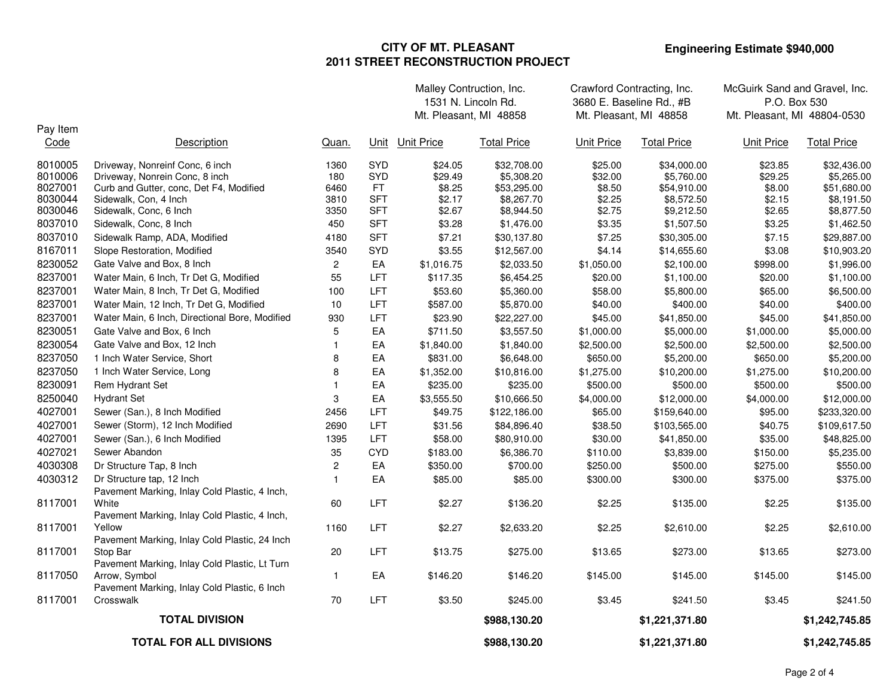|                                                                |                                                                                                                                                                                           |                                            |                                                             | Malley Contruction, Inc.<br>1531 N. Lincoln Rd.            |                                                                                    | Crawford Contracting, Inc.<br>3680 E. Baseline Rd., #B     |                                                                                    | McGuirk Sand and Gravel, Inc.<br>P.O. Box 530              |                                                                                    |
|----------------------------------------------------------------|-------------------------------------------------------------------------------------------------------------------------------------------------------------------------------------------|--------------------------------------------|-------------------------------------------------------------|------------------------------------------------------------|------------------------------------------------------------------------------------|------------------------------------------------------------|------------------------------------------------------------------------------------|------------------------------------------------------------|------------------------------------------------------------------------------------|
|                                                                |                                                                                                                                                                                           |                                            |                                                             | Mt. Pleasant, MI 48858                                     |                                                                                    |                                                            | Mt. Pleasant, MI 48858                                                             | Mt. Pleasant, MI 48804-0530                                |                                                                                    |
| Pay Item<br>Code                                               | Description                                                                                                                                                                               | Quan.                                      |                                                             | Unit Unit Price                                            | <b>Total Price</b>                                                                 | <b>Unit Price</b>                                          | <b>Total Price</b>                                                                 | <b>Unit Price</b>                                          | <b>Total Price</b>                                                                 |
| 8010005<br>8010006<br>8027001<br>8030044<br>8030046<br>8037010 | Driveway, Nonreinf Conc, 6 inch<br>Driveway, Nonrein Conc, 8 inch<br>Curb and Gutter, conc, Det F4, Modified<br>Sidewalk, Con, 4 Inch<br>Sidewalk, Conc, 6 Inch<br>Sidewalk, Conc, 8 Inch | 1360<br>180<br>6460<br>3810<br>3350<br>450 | SYD<br>SYD<br>FT.<br><b>SFT</b><br><b>SFT</b><br><b>SFT</b> | \$24.05<br>\$29.49<br>\$8.25<br>\$2.17<br>\$2.67<br>\$3.28 | \$32,708.00<br>\$5,308.20<br>\$53,295.00<br>\$8,267.70<br>\$8,944.50<br>\$1,476.00 | \$25.00<br>\$32.00<br>\$8.50<br>\$2.25<br>\$2.75<br>\$3.35 | \$34,000.00<br>\$5,760.00<br>\$54,910.00<br>\$8,572.50<br>\$9,212.50<br>\$1,507.50 | \$23.85<br>\$29.25<br>\$8.00<br>\$2.15<br>\$2.65<br>\$3.25 | \$32,436.00<br>\$5,265.00<br>\$51,680.00<br>\$8,191.50<br>\$8,877.50<br>\$1,462.50 |
| 8037010                                                        | Sidewalk Ramp, ADA, Modified                                                                                                                                                              | 4180                                       | <b>SFT</b>                                                  | \$7.21                                                     | \$30,137.80                                                                        | \$7.25                                                     | \$30,305.00                                                                        | \$7.15                                                     | \$29,887.00                                                                        |
| 8167011                                                        |                                                                                                                                                                                           |                                            | SYD                                                         | \$3.55                                                     |                                                                                    | \$4.14                                                     |                                                                                    | \$3.08                                                     |                                                                                    |
| 8230052                                                        | Slope Restoration, Modified<br>Gate Valve and Box, 8 Inch                                                                                                                                 | 3540<br>$\overline{c}$                     | EA                                                          | \$1,016.75                                                 | \$12,567.00                                                                        |                                                            | \$14,655.60<br>\$2,100.00                                                          | \$998.00                                                   | \$10,903.20<br>\$1,996.00                                                          |
| 8237001                                                        | Water Main, 6 Inch, Tr Det G, Modified                                                                                                                                                    | 55                                         | <b>LFT</b>                                                  | \$117.35                                                   | \$2,033.50                                                                         | \$1,050.00                                                 |                                                                                    |                                                            |                                                                                    |
| 8237001                                                        | Water Main, 8 Inch, Tr Det G, Modified                                                                                                                                                    | 100                                        | <b>LFT</b>                                                  | \$53.60                                                    | \$6,454.25<br>\$5,360.00                                                           | \$20.00<br>\$58.00                                         | \$1,100.00<br>\$5,800.00                                                           | \$20.00<br>\$65.00                                         | \$1,100.00<br>\$6,500.00                                                           |
| 8237001                                                        | Water Main, 12 Inch, Tr Det G, Modified                                                                                                                                                   | 10                                         | <b>LFT</b>                                                  | \$587.00                                                   | \$5,870.00                                                                         | \$40.00                                                    | \$400.00                                                                           | \$40.00                                                    | \$400.00                                                                           |
| 8237001                                                        | Water Main, 6 Inch, Directional Bore, Modified                                                                                                                                            | 930                                        | LFT                                                         | \$23.90                                                    | \$22,227.00                                                                        | \$45.00                                                    | \$41,850.00                                                                        | \$45.00                                                    | \$41,850.00                                                                        |
| 8230051                                                        | Gate Valve and Box, 6 Inch                                                                                                                                                                | 5                                          | EA                                                          | \$711.50                                                   | \$3,557.50                                                                         | \$1,000.00                                                 | \$5,000.00                                                                         | \$1,000.00                                                 | \$5,000.00                                                                         |
| 8230054                                                        | Gate Valve and Box, 12 Inch                                                                                                                                                               | -1                                         | EA                                                          | \$1,840.00                                                 | \$1,840.00                                                                         | \$2,500.00                                                 | \$2,500.00                                                                         | \$2,500.00                                                 | \$2,500.00                                                                         |
| 8237050                                                        | 1 Inch Water Service, Short                                                                                                                                                               | 8                                          | EA                                                          | \$831.00                                                   | \$6,648.00                                                                         | \$650.00                                                   | \$5,200.00                                                                         | \$650.00                                                   | \$5,200.00                                                                         |
| 8237050                                                        | 1 Inch Water Service, Long                                                                                                                                                                | 8                                          | EA                                                          | \$1,352.00                                                 | \$10,816.00                                                                        | \$1,275.00                                                 | \$10,200.00                                                                        | \$1,275.00                                                 | \$10,200.00                                                                        |
| 8230091                                                        | Rem Hydrant Set                                                                                                                                                                           |                                            | EA                                                          | \$235.00                                                   | \$235.00                                                                           | \$500.00                                                   | \$500.00                                                                           | \$500.00                                                   | \$500.00                                                                           |
| 8250040                                                        | <b>Hydrant Set</b>                                                                                                                                                                        | 3                                          | EA                                                          | \$3,555.50                                                 | \$10,666.50                                                                        | \$4,000.00                                                 | \$12,000.00                                                                        | \$4,000.00                                                 | \$12,000.00                                                                        |
| 4027001                                                        | Sewer (San.), 8 Inch Modified                                                                                                                                                             | 2456                                       | <b>LFT</b>                                                  | \$49.75                                                    | \$122,186.00                                                                       | \$65.00                                                    |                                                                                    | \$95.00                                                    | \$233,320.00                                                                       |
| 4027001                                                        | Sewer (Storm), 12 Inch Modified                                                                                                                                                           | 2690                                       | <b>LFT</b>                                                  | \$31.56                                                    | \$84,896.40                                                                        | \$38.50                                                    | \$159,640.00<br>\$103,565.00                                                       | \$40.75                                                    | \$109,617.50                                                                       |
| 4027001                                                        |                                                                                                                                                                                           | 1395                                       | <b>LFT</b>                                                  | \$58.00                                                    |                                                                                    | \$30.00                                                    | \$41,850.00                                                                        | \$35.00                                                    | \$48,825.00                                                                        |
| 4027021                                                        | Sewer (San.), 6 Inch Modified<br>Sewer Abandon                                                                                                                                            | 35                                         | <b>CYD</b>                                                  | \$183.00                                                   | \$80,910.00                                                                        | \$110.00                                                   | \$3,839.00                                                                         | \$150.00                                                   | \$5,235.00                                                                         |
| 4030308                                                        | Dr Structure Tap, 8 Inch                                                                                                                                                                  |                                            | EA                                                          | \$350.00                                                   | \$6,386.70<br>\$700.00                                                             | \$250.00                                                   | \$500.00                                                                           | \$275.00                                                   | \$550.00                                                                           |
| 4030312                                                        |                                                                                                                                                                                           | $\overline{\mathbf{c}}$<br>$\mathbf{1}$    | EA                                                          | \$85.00                                                    | \$85.00                                                                            | \$300.00                                                   | \$300.00                                                                           | \$375.00                                                   | \$375.00                                                                           |
|                                                                | Dr Structure tap, 12 Inch<br>Pavement Marking, Inlay Cold Plastic, 4 Inch,                                                                                                                |                                            |                                                             |                                                            |                                                                                    |                                                            |                                                                                    |                                                            |                                                                                    |
| 8117001                                                        | White<br>Pavement Marking, Inlay Cold Plastic, 4 Inch,                                                                                                                                    | 60                                         | <b>LFT</b>                                                  | \$2.27                                                     | \$136.20                                                                           | \$2.25                                                     | \$135.00                                                                           | \$2.25                                                     | \$135.00                                                                           |
| 8117001                                                        | Yellow<br>Pavement Marking, Inlay Cold Plastic, 24 Inch                                                                                                                                   | 1160                                       | LFT                                                         | \$2.27                                                     | \$2,633.20                                                                         | \$2.25                                                     | \$2,610.00                                                                         | \$2.25                                                     | \$2,610.00                                                                         |
| 8117001                                                        | Stop Bar<br>Pavement Marking, Inlay Cold Plastic, Lt Turn                                                                                                                                 | 20                                         | <b>LFT</b>                                                  | \$13.75                                                    | \$275.00                                                                           | \$13.65                                                    | \$273.00                                                                           | \$13.65                                                    | \$273.00                                                                           |
| 8117050                                                        | Arrow, Symbol<br>Pavement Marking, Inlay Cold Plastic, 6 Inch                                                                                                                             | $\mathbf{1}$                               | EA                                                          | \$146.20                                                   | \$146.20                                                                           | \$145.00                                                   | \$145.00                                                                           | \$145.00                                                   | \$145.00                                                                           |
| 8117001                                                        | Crosswalk                                                                                                                                                                                 | 70                                         | <b>LFT</b>                                                  | \$3.50                                                     | \$245.00                                                                           | \$3.45                                                     | \$241.50                                                                           | \$3.45                                                     | \$241.50                                                                           |
|                                                                | <b>TOTAL DIVISION</b>                                                                                                                                                                     |                                            |                                                             |                                                            | \$988,130.20                                                                       |                                                            | \$1,221,371.80                                                                     |                                                            | \$1,242,745.85                                                                     |
| <b>TOTAL FOR ALL DIVISIONS</b>                                 |                                                                                                                                                                                           |                                            |                                                             |                                                            | \$988,130.20                                                                       |                                                            | \$1,221,371.80                                                                     |                                                            | \$1,242,745.85                                                                     |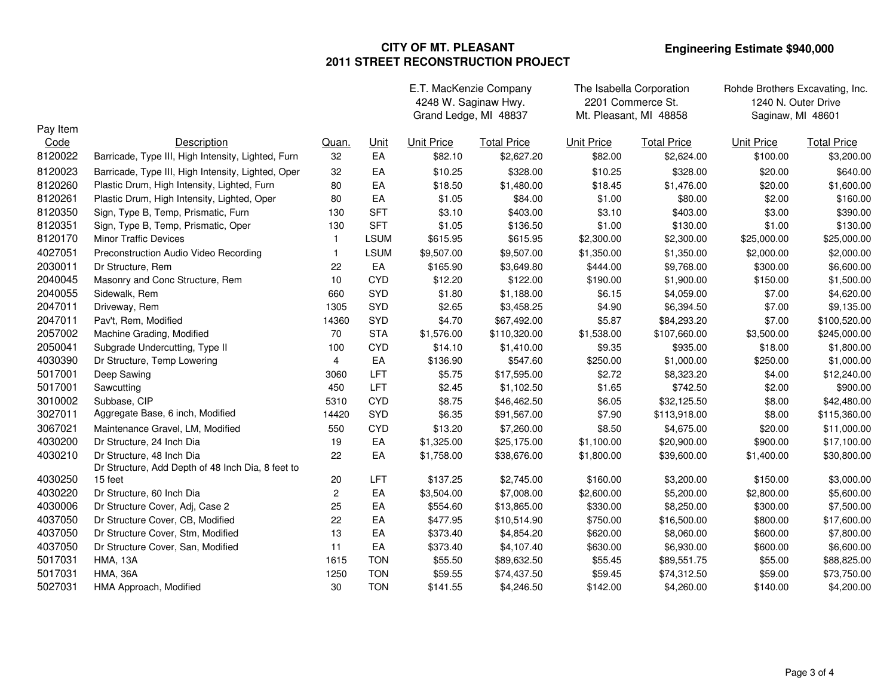|                    |                                                    |                         |                          | E.T. MacKenzie Company<br>4248 W. Saginaw Hwy. |                    | The Isabella Corporation<br>2201 Commerce St. |                    | Rohde Brothers Excavating, Inc.<br>1240 N. Outer Drive |                    |
|--------------------|----------------------------------------------------|-------------------------|--------------------------|------------------------------------------------|--------------------|-----------------------------------------------|--------------------|--------------------------------------------------------|--------------------|
|                    |                                                    |                         |                          | Grand Ledge, MI 48837                          |                    | Mt. Pleasant, MI 48858                        |                    | Saginaw, MI 48601                                      |                    |
| Pay Item<br>Code   | Description                                        | Quan.                   | Unit                     | <b>Unit Price</b>                              | <b>Total Price</b> | <b>Unit Price</b>                             | <b>Total Price</b> | <b>Unit Price</b>                                      | <b>Total Price</b> |
| 8120022            | Barricade, Type III, High Intensity, Lighted, Furn | 32                      | EA                       | \$82.10                                        | \$2,627.20         | \$82.00                                       | \$2,624.00         | \$100.00                                               | \$3,200.00         |
| 8120023            | Barricade, Type III, High Intensity, Lighted, Oper | 32                      | EA                       | \$10.25                                        | \$328.00           | \$10.25                                       | \$328.00           | \$20.00                                                | \$640.00           |
| 8120260            | Plastic Drum, High Intensity, Lighted, Furn        | 80                      | EA                       | \$18.50                                        | \$1,480.00         | \$18.45                                       | \$1,476.00         | \$20.00                                                | \$1,600.00         |
| 8120261            | Plastic Drum, High Intensity, Lighted, Oper        | 80                      | EA                       | \$1.05                                         | \$84.00            | \$1.00                                        | \$80.00            | \$2.00                                                 | \$160.00           |
| 8120350            | Sign, Type B, Temp, Prismatic, Furn                | 130                     | <b>SFT</b>               | \$3.10                                         | \$403.00           | \$3.10                                        | \$403.00           | \$3.00                                                 | \$390.00           |
| 8120351            | Sign, Type B, Temp, Prismatic, Oper                | 130                     | <b>SFT</b>               | \$1.05                                         | \$136.50           | \$1.00                                        | \$130.00           | \$1.00                                                 | \$130.00           |
| 8120170            | Minor Traffic Devices                              | $\mathbf{1}$            | <b>LSUM</b>              | \$615.95                                       | \$615.95           | \$2,300.00                                    | \$2,300.00         | \$25,000.00                                            | \$25,000.00        |
| 4027051            | Preconstruction Audio Video Recording              | $\overline{1}$          | <b>LSUM</b>              | \$9,507.00                                     | \$9,507.00         | \$1,350.00                                    | \$1,350.00         | \$2,000.00                                             | \$2,000.00         |
| 2030011            | Dr Structure, Rem                                  | 22                      | EA                       | \$165.90                                       | \$3,649.80         | \$444.00                                      | \$9,768.00         | \$300.00                                               | \$6,600.00         |
| 2040045            | Masonry and Conc Structure, Rem                    | 10                      | <b>CYD</b>               | \$12.20                                        | \$122.00           | \$190.00                                      | \$1,900.00         | \$150.00                                               | \$1,500.00         |
| 2040055            | Sidewalk, Rem                                      | 660                     | <b>SYD</b>               | \$1.80                                         | \$1,188.00         | \$6.15                                        | \$4,059.00         | \$7.00                                                 | \$4,620.00         |
| 2047011            | Driveway, Rem                                      | 1305                    | <b>SYD</b>               | \$2.65                                         | \$3,458.25         | \$4.90                                        | \$6,394.50         | \$7.00                                                 | \$9,135.00         |
| 2047011            | Pav't, Rem, Modified                               | 14360                   | <b>SYD</b>               | \$4.70                                         | \$67,492.00        | \$5.87                                        | \$84,293.20        | \$7.00                                                 | \$100,520.00       |
| 2057002            | Machine Grading, Modified                          | 70                      | <b>STA</b>               | \$1,576.00                                     | \$110,320.00       | \$1,538.00                                    | \$107,660.00       | \$3,500.00                                             | \$245,000.00       |
| 2050041            | Subgrade Undercutting, Type II                     | 100                     | <b>CYD</b>               | \$14.10                                        | \$1,410.00         | \$9.35                                        | \$935.00           | \$18.00                                                | \$1,800.00         |
| 4030390            | Dr Structure, Temp Lowering                        | 4                       | EA                       | \$136.90                                       | \$547.60           | \$250.00                                      | \$1,000.00         | \$250.00                                               | \$1,000.00         |
| 5017001            | Deep Sawing                                        | 3060                    | LFT                      | \$5.75                                         | \$17,595.00        | \$2.72                                        | \$8,323.20         | \$4.00                                                 | \$12,240.00        |
| 5017001            | Sawcutting                                         | 450                     | LFT                      | \$2.45                                         | \$1,102.50         | \$1.65                                        | \$742.50           | \$2.00                                                 | \$900.00           |
| 3010002            | Subbase, CIP                                       | 5310                    | <b>CYD</b>               | \$8.75                                         | \$46,462.50        | \$6.05                                        | \$32,125.50        | \$8.00                                                 | \$42,480.00        |
| 3027011            | Aggregate Base, 6 inch, Modified                   | 14420                   | <b>SYD</b>               | \$6.35                                         | \$91,567.00        | \$7.90                                        | \$113,918.00       | \$8.00                                                 | \$115,360.00       |
| 3067021            | Maintenance Gravel, LM, Modified                   | 550                     | <b>CYD</b>               | \$13.20                                        | \$7,260.00         | \$8.50                                        | \$4,675.00         | \$20.00                                                | \$11,000.00        |
| 4030200            | Dr Structure, 24 Inch Dia                          | 19                      | EA                       | \$1,325.00                                     | \$25,175.00        | \$1,100.00                                    | \$20,900.00        | \$900.00                                               | \$17,100.00        |
| 4030210            | Dr Structure, 48 Inch Dia                          | 22                      | EA                       | \$1,758.00                                     | \$38,676.00        | \$1,800.00                                    | \$39,600.00        | \$1,400.00                                             | \$30,800.00        |
|                    | Dr Structure, Add Depth of 48 Inch Dia, 8 feet to  |                         |                          |                                                |                    |                                               |                    |                                                        |                    |
| 4030250            | 15 feet                                            | 20                      | LFT                      | \$137.25                                       | \$2,745.00         | \$160.00                                      | \$3,200.00         | \$150.00                                               | \$3,000.00         |
| 4030220            | Dr Structure, 60 Inch Dia                          | $\overline{\mathbf{c}}$ | EA                       | \$3,504.00                                     | \$7,008.00         | \$2,600.00                                    | \$5,200.00         | \$2,800.00                                             | \$5,600.00         |
| 4030006            | Dr Structure Cover, Adj, Case 2                    | 25                      | EA                       | \$554.60                                       | \$13,865.00        | \$330.00                                      | \$8,250.00         | \$300.00                                               | \$7,500.00         |
| 4037050            | Dr Structure Cover, CB, Modified                   | 22                      | EA                       | \$477.95                                       | \$10,514.90        | \$750.00                                      | \$16,500.00        | \$800.00                                               | \$17,600.00        |
| 4037050            | Dr Structure Cover, Stm, Modified                  | 13                      | EA                       | \$373.40                                       | \$4,854.20         | \$620.00                                      | \$8,060.00         | \$600.00                                               | \$7,800.00         |
| 4037050            | Dr Structure Cover, San, Modified                  | 11                      | EA                       | \$373.40                                       | \$4,107.40         | \$630.00                                      | \$6,930.00         | \$600.00                                               | \$6,600.00         |
| 5017031            | <b>HMA, 13A</b>                                    | 1615                    | <b>TON</b>               | \$55.50                                        | \$89,632.50        | \$55.45                                       | \$89,551.75        | \$55.00                                                | \$88,825.00        |
| 5017031<br>5027031 | <b>HMA, 36A</b>                                    | 1250<br>30              | <b>TON</b><br><b>TON</b> | \$59.55                                        | \$74,437.50        | \$59.45                                       | \$74,312.50        | \$59.00                                                | \$73,750.00        |
|                    | HMA Approach, Modified                             |                         |                          | \$141.55                                       | \$4,246.50         | \$142.00                                      | \$4,260.00         | \$140.00                                               | \$4,200.00         |